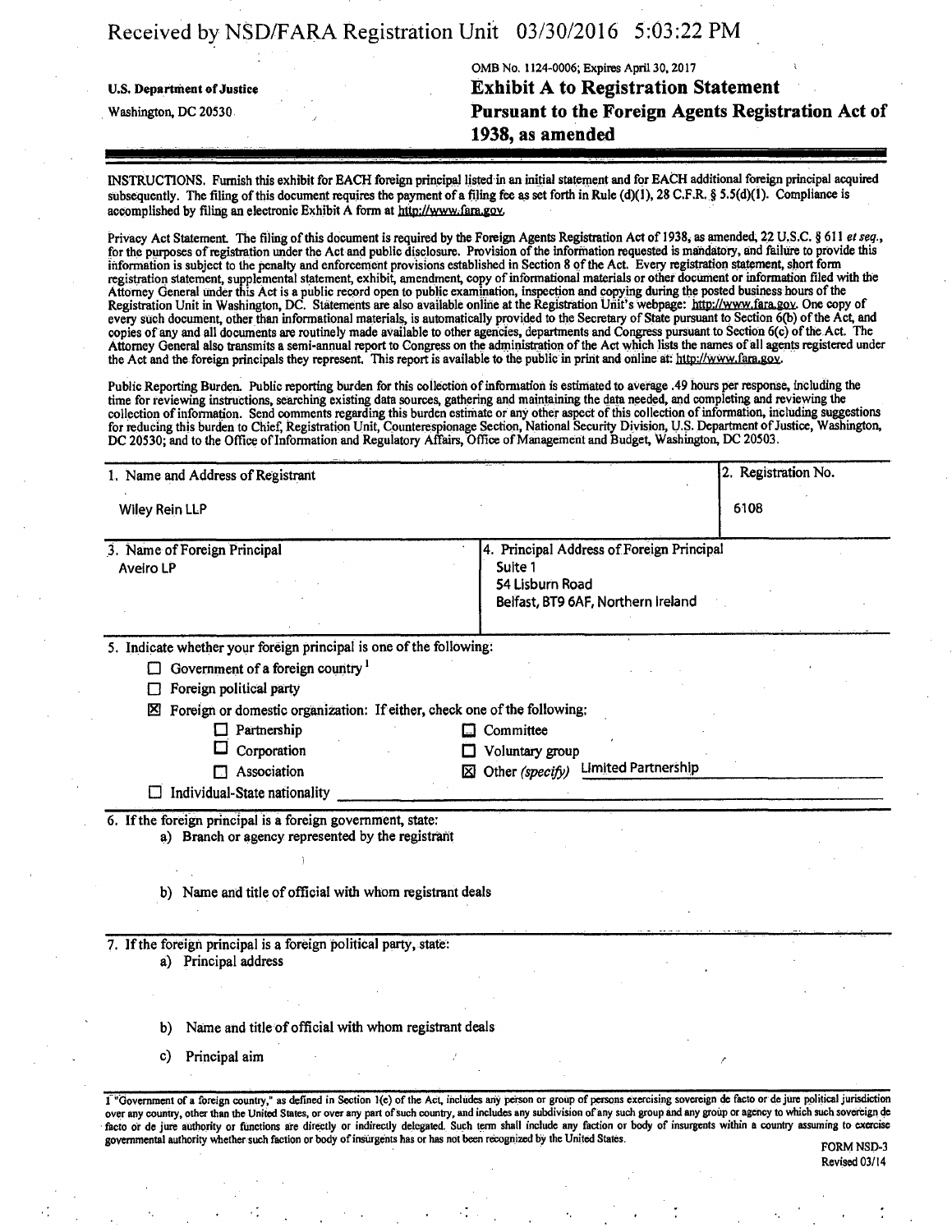# Received by NSD/FARA Registration Unit 03/30/2016 5:03:22 PM

## OMB No. 1124-0006; Expires April 30,2017 11 - 12 - 12 - 12 - 12 - 12 - 12 **u.s. Department of justice Exhibit A to Registration Statement Washington, DC 20530 Pursuant to the Foreign Agents Registration Act of 1938, as amended**

Revised 03/14

INSTRUCTIONS. Furnish this exhibit for EACH foreign principal listed in an initial statement and for EACH additional foreign principal acquired subsequently. The filing of this document requires the payment of a filing fee as set forth in Rule  $(d)(1)$ , 28 C.F.R. § 5.5(d)(1). Compliance is accomplished by filing an electronic Exhibit A form at http://www.fara.gov.

Privacy Act Statement. The filing of this document is required by the Foreign Agents Registration Act of 1938, as amended, 22 U.S.C. § 611 et seq., for the purposes of registration under the Act and public disclosure. Provision of the information requested is mandatory, and failure to provide this information is subject to the penalty and enforcement provisions established in Section 8 of the Act. Every registration statement, short form registration statement, supplemental statement, exhibit, amendment, copy of informational materials or other document or infonnation filed with the Attorney General under this Act is a public record open to public examination, inspection and copy ing during the posted business hours of the Registration Unit in Washington, DC. Statements are also available online at the Registration Unit's webpage: http://www.fara.gov. One copy of every such document, other than informational materials, is automatically provided to the Secretary of State pursuant to Section 6(b) of the Act, and copies of any and all documents are routinely made available to other agencies, departments and Congress pursuant to Section 6(c) of the Act. The Attorney General also transmits a semi-annual report to Congress on the administration of the Act which lists the names of all agents registered under the Act and the foreign principals they represent. This report is available to the public in print and online at: http://www.fara.gov.

Public Reporting Burden. Public reporting burden for this collection of informatioh is estimated to average .49 hours per response, including the time for reviewing instructions, searching existing data sources, gathering and maintaining the data needed, and completing and reviewing the collection of infonnation. Send comments regarding this burden estimate or any other aspect of this collection of information, including suggestions for reducing this burden to Chief, Registration Unit, Counterespionage Section, National Security Division, U.S. Department of Justice, Washington, DC 20530; and to the Office of Information and Regulatory Affairs, Office of Management and Budget, Washington, DC 20503.

| 6108<br>4. Principal Address of Foreign Principal<br>Suite 1<br>54 Lisburn Road<br>Belfast, BT9 6AF, Northern Ireland<br>5. Indicate whether your foreign principal is one of the following:<br>Foreign or domestic organization: If either, check one of the following:<br>Committee<br>Voluntary group<br><b>Limited Partnership</b><br>$\boxtimes$ Other (specify)                                                                                                                          |
|------------------------------------------------------------------------------------------------------------------------------------------------------------------------------------------------------------------------------------------------------------------------------------------------------------------------------------------------------------------------------------------------------------------------------------------------------------------------------------------------|
|                                                                                                                                                                                                                                                                                                                                                                                                                                                                                                |
|                                                                                                                                                                                                                                                                                                                                                                                                                                                                                                |
|                                                                                                                                                                                                                                                                                                                                                                                                                                                                                                |
|                                                                                                                                                                                                                                                                                                                                                                                                                                                                                                |
|                                                                                                                                                                                                                                                                                                                                                                                                                                                                                                |
|                                                                                                                                                                                                                                                                                                                                                                                                                                                                                                |
|                                                                                                                                                                                                                                                                                                                                                                                                                                                                                                |
|                                                                                                                                                                                                                                                                                                                                                                                                                                                                                                |
|                                                                                                                                                                                                                                                                                                                                                                                                                                                                                                |
|                                                                                                                                                                                                                                                                                                                                                                                                                                                                                                |
|                                                                                                                                                                                                                                                                                                                                                                                                                                                                                                |
|                                                                                                                                                                                                                                                                                                                                                                                                                                                                                                |
|                                                                                                                                                                                                                                                                                                                                                                                                                                                                                                |
|                                                                                                                                                                                                                                                                                                                                                                                                                                                                                                |
|                                                                                                                                                                                                                                                                                                                                                                                                                                                                                                |
|                                                                                                                                                                                                                                                                                                                                                                                                                                                                                                |
|                                                                                                                                                                                                                                                                                                                                                                                                                                                                                                |
|                                                                                                                                                                                                                                                                                                                                                                                                                                                                                                |
| b) Name and title of official with whom registrant deals                                                                                                                                                                                                                                                                                                                                                                                                                                       |
|                                                                                                                                                                                                                                                                                                                                                                                                                                                                                                |
|                                                                                                                                                                                                                                                                                                                                                                                                                                                                                                |
|                                                                                                                                                                                                                                                                                                                                                                                                                                                                                                |
|                                                                                                                                                                                                                                                                                                                                                                                                                                                                                                |
|                                                                                                                                                                                                                                                                                                                                                                                                                                                                                                |
| Name and title of official with whom registrant deals                                                                                                                                                                                                                                                                                                                                                                                                                                          |
|                                                                                                                                                                                                                                                                                                                                                                                                                                                                                                |
|                                                                                                                                                                                                                                                                                                                                                                                                                                                                                                |
| I "Government of a foreign country," as defined in Section 1(e) of the Act, includes any person or group of persons exercising sovereign de facto or de jure political jurisdiction                                                                                                                                                                                                                                                                                                            |
| over any country, other than the United States, or over any part of such country, and includes any subdivision of any such group and any group or agency to which such sovereign de<br>facto or de jure authority or functions are directly or indirectly delegated. Such term shall include any faction or body of insurgents within a country assuming to exercise<br>governmental authority whether such faction or body of insurgents has or has not been recognized by the United States. |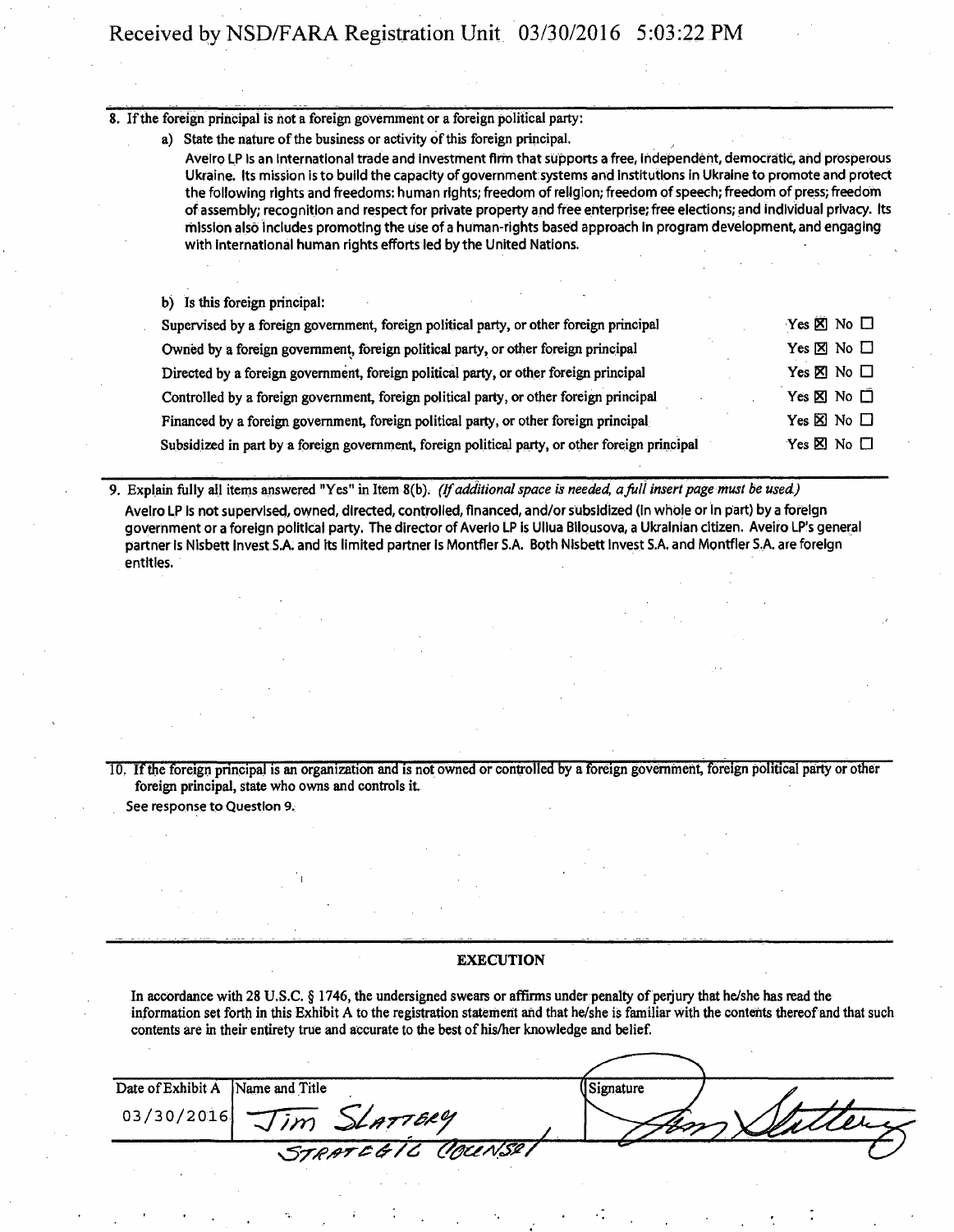8. If the foreign principai is not a foreign government or a foreign political party:

a) State the nature of the business or activity of this foreign principal.

Avelro LP Is an International trade and investment firm that supports a free, independent, democratic, and prosperous Ukraine. Its mission is to build the capacity of government systems and Institutions in Ukraine to promote and protect the following rights and freedoms: human rights; freedom of religion; freedom of speech; freedom of press; freedom of assembly; recognition and respect for private property and free enterprise; free elections; and individual privacy. Its mission also Includes promoting the use of a human-rights based approach in program development, and engaging with international human rights efforts led by the United Nations.

b) Is this foreign principal:

| Supervised by a foreign government, foreign political party, or other foreign principal         | Yes $\boxtimes$ No $\square$ |
|-------------------------------------------------------------------------------------------------|------------------------------|
| Owned by a foreign government, foreign political party, or other foreign principal              | Yes $\boxtimes$ No $\Box$    |
| Directed by a foreign government, foreign political party, or other foreign principal           | Yes ⊠ No □                   |
| Controlled by a foreign government, foreign political party, or other foreign principal         | Yes $\times$ No $\Box$       |
| Financed by a foreign government, foreign political party, or other foreign principal           | Yes $\times$ No $\Box$       |
| Subsidized in part by a foreign government, foreign political party, or other foreign principal | Yes $\times$ No $\Box$       |

9. Explain fully all items answered "Yes" in Item 8(b). (If additional space is needed, a full insert page must be used.) Aveiro LP is not supervised, owned, directed, controlled, financed, and/or subsidized (in whole or in part) by a foreign government or a foreign political party. The director of Averlo LP is Ullua Bllpusova, a Ukrainian citizen. Aveiro LP's general partner Is Nisbett Invest S.A. and its limited partner is Montfler S.A. Both Nisbett Invest S.A. and Montfler S.A. are foreign entitles.

10. If the foreign principal is an organization and is not owned or controlled by a foreign government, foreign political party or other foreign principal, state who owns and controls it. See response to Question 9.

#### **EXECUTION**

In accordance with 28 U.S.C. § 1746, the undersigned swears or affirms under penalty of perjury that he/she has read the information set forth in this Exhibit A to the registration statement and that he/she is familiar with the contents thereof and that such contents are in their entirety true and accurate to the best of his/her knowledge and belief.

| Date of Exhibit A<br>Name and Title | Signature |
|-------------------------------------|-----------|
| $03/30/2016$ Jim SLATTERY           |           |
| STRATEGIC COUNSEL                   |           |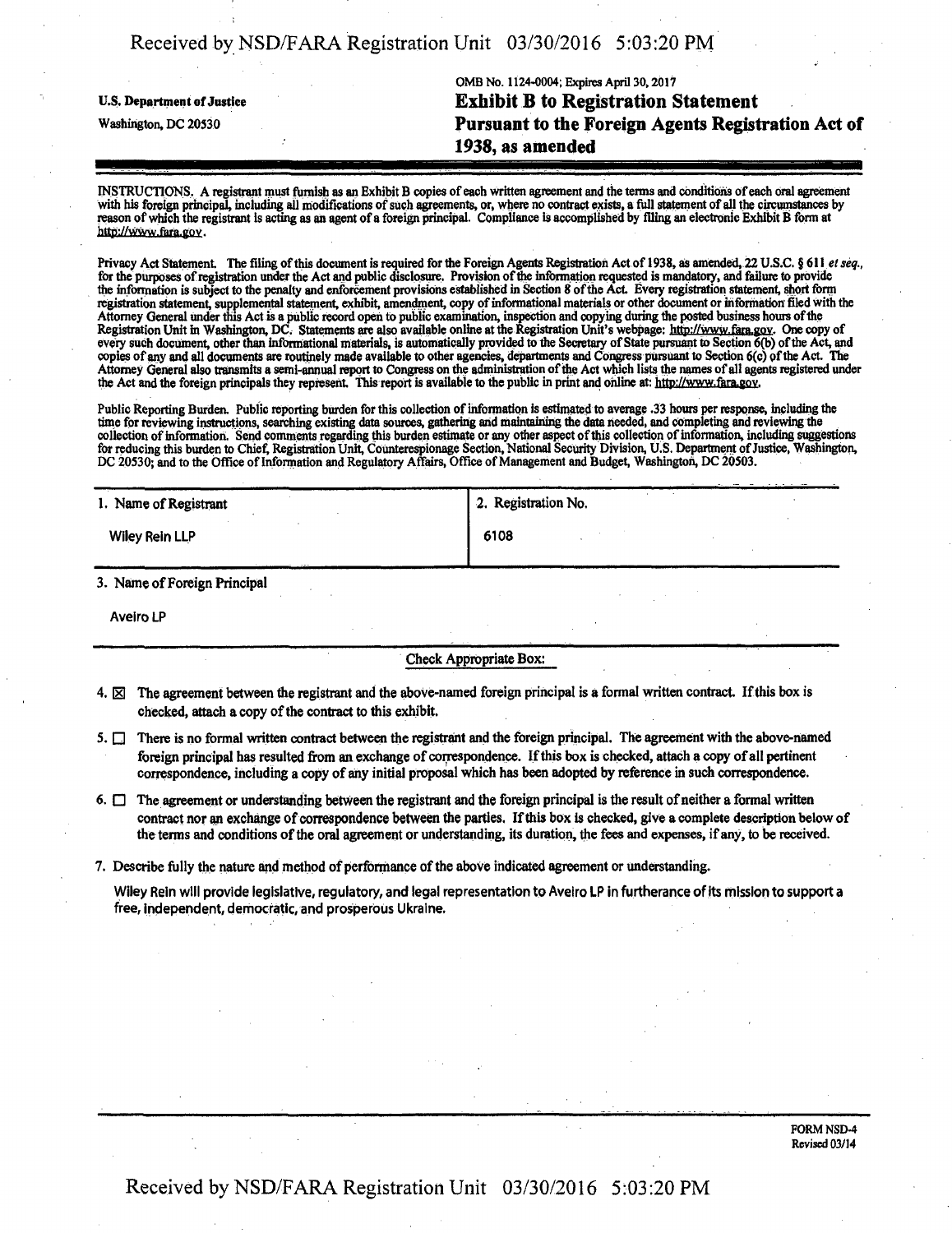| Received by NSD/FARA Registration Unit 03/30/2016 5:03:20 PM |  |  |  |
|--------------------------------------------------------------|--|--|--|
|--------------------------------------------------------------|--|--|--|

QMB No. 1124-0004; Expires April 30,2017 **u.s. Department of justice Exhibit B to Registration Statement**  Pursuant to the Foreign Agents Registration Act of **1938, as amended** 

INSTRUCTIONS , A registrant must furnish as an Exhibit B copies of each written agreement and the terms and conditions of each oral agreement with his foreign principal, including all modifications of such agreements, or, where no contract exists, a full statement of all the circumstances by reason of which the registrant is acting as an agent ofa foreign principal. Compliance is accomplished by filing an electronic Exhibit B form at http://www.fara.gov.

Privacy Act Statement. The filing of this document is required for the Foreign Agents Registration Act of 1938, as amended, 22 U.S.C. § 611 et seq., for the purposes of registration under the Act and public disclosure. Provision of the information requested is mandatory, and failure to provide the infonnation is subject to the penalty and enforcement provisions established in Section 8 of the Act Every registration statement, short form registration statement, supplemental statement, exhibit, amendment, copy of informational materials or other document or information' filed with the Attorney General under this Act is a public record open to public examination, inspection and copying during the posted business hours of the Registration Unit in Washington, DC. Statements are also available online at the Registration Unit's webpage: http://www.fara.gov. One copy of Registration Unit in Washington, DC. Statements are also available online at th copies of any and all documents are routinely made available to other agencies, departments and Congress pursuant to Section 6(c) pf the Act The Attorney General also transmits a semi-annual report to Congress on the administration of the Act which lists the names of all agents registered under the Act and the foreign principals they represent. This report is available to the public in print and online at: http://www.fara.gov.

Public Reporting Burden. Public reporting burden for this collection of information is estimated to average .33 hours per response, including the time for reviewing instructions, searching existing data sources, gathering and maintaining the data needed, and completing and reviewing the collection of information. Send comments regarding this burden estimate or any other aspect of this collection of information, including suggestions for reducing this burden to Chief, Registration Unit, Counterespionage Section, National Security Division, U.S. Department of Justice, Washington, DC 20530; and to the Office of Information and Regulatory Affairs, Office of Management and Budget, Washington, DC 20503.

| 1. Name of Registrant | 2. Registration No. |  |
|-----------------------|---------------------|--|
| <b>Wiley Rein LLP</b> | 6108                |  |
|                       |                     |  |

3. Name of Foreign Principal

Aveiro LP

Check Appropriate Box:

- 4.  $\boxtimes$  The agreement between the registrant and the above-named foreign principal is a formal written contract. If this box is checked, attach a copy of the contract to this exhibit.
- 5.  $\Box$  There is no formal written contract between the registrant and the foreign principal. The agreement with the above-named foreign principal has resulted from an exchange of correspondence. If this box is checked, attach a copy of all pertinent correspondence, including a copy of any initial proposal which has been adopted by reference in such correspondence.
- 6.  $\Box$  The agreement or understanding between the registrant and the foreign principal is the result of neither a formal written contract nor an exchange of correspondence between the parties. If this box is checked, give a complete description below of the terms and conditions of the oral agreement or understanding, its duration, the fees and expenses, if any , to be received.
- 7. Describe fully the nature and method of performance of the above indicated agreement or understanding.

Wiley Rein will provide legislative, regulatory, and legal representation to Aveiro LP in furtherance of its mission to support a free, independent, democratic, and prosperous Ukraine.

> FORM NSD-4 Revised 03/14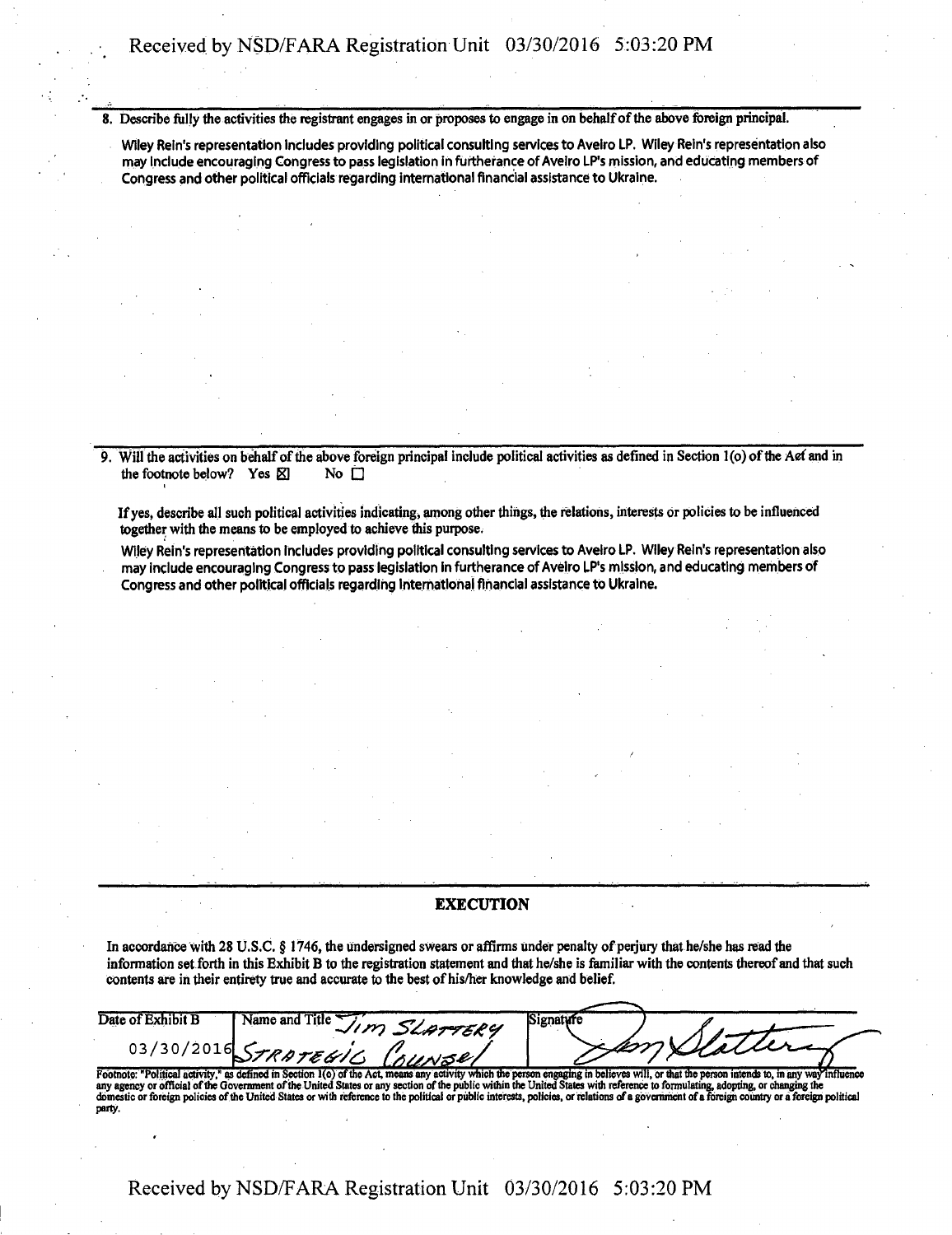8. Describe fully the activities the registrant engages in or proposes to engage in on behalf of the above foreign principal.

Wiley Rein's representation Includes providing political consulting services to Aveiro LP. Wiley Rein's representation also may Include encouraging Congress to pass legislation in furtherance of Aveiro LP's mission, and educating members of Congress and other political officials regarding international financial assistance to Ukraine.

9. Will the activities on behalf of the above foreign principal include political activities as defined in Section 1 (o) of the Aef and in the footnote below? Yes  $\boxtimes$  No  $\square$ 

If yes, describe all such political activities indicating, among other things, the relations, interests or policies to be influenced together with the means to be employed to achieve this purpose.

Wiley Rein's representation Includes providing political consulting services to Aveiro LP. Wiley Rein's representation also may include encouraging Congress to pass legislation in furtherance of Aveiro LP's mission, and educating members of Congress and other political officials regarding International financial assistance to Ukraine.

#### **EXECUTION**

In accordance with 28 U.S.C. § 1746, the undersigned swears or affirms under penalty of perjury that he/she has read the information set forth in this Exhibit B to the registration statement and that he/she is familiar with the contents thereof and that such contents are in their entirety true and accurate to the best of his/her knowledge and belief.

| Date of Exhibit B | Name and Title<br>SLATTERY<br>سمدد | Signature |           |
|-------------------|------------------------------------|-----------|-----------|
|                   |                                    |           | millalure |
|                   | STRATEGIC COL<br>nUNSel            |           |           |

Footnote: "Political activity," as defined in Section 1(o) of the Act, means any activity which the person engaging in believes will, or that the person intends to, in any way influence any agency or official of the Govern party.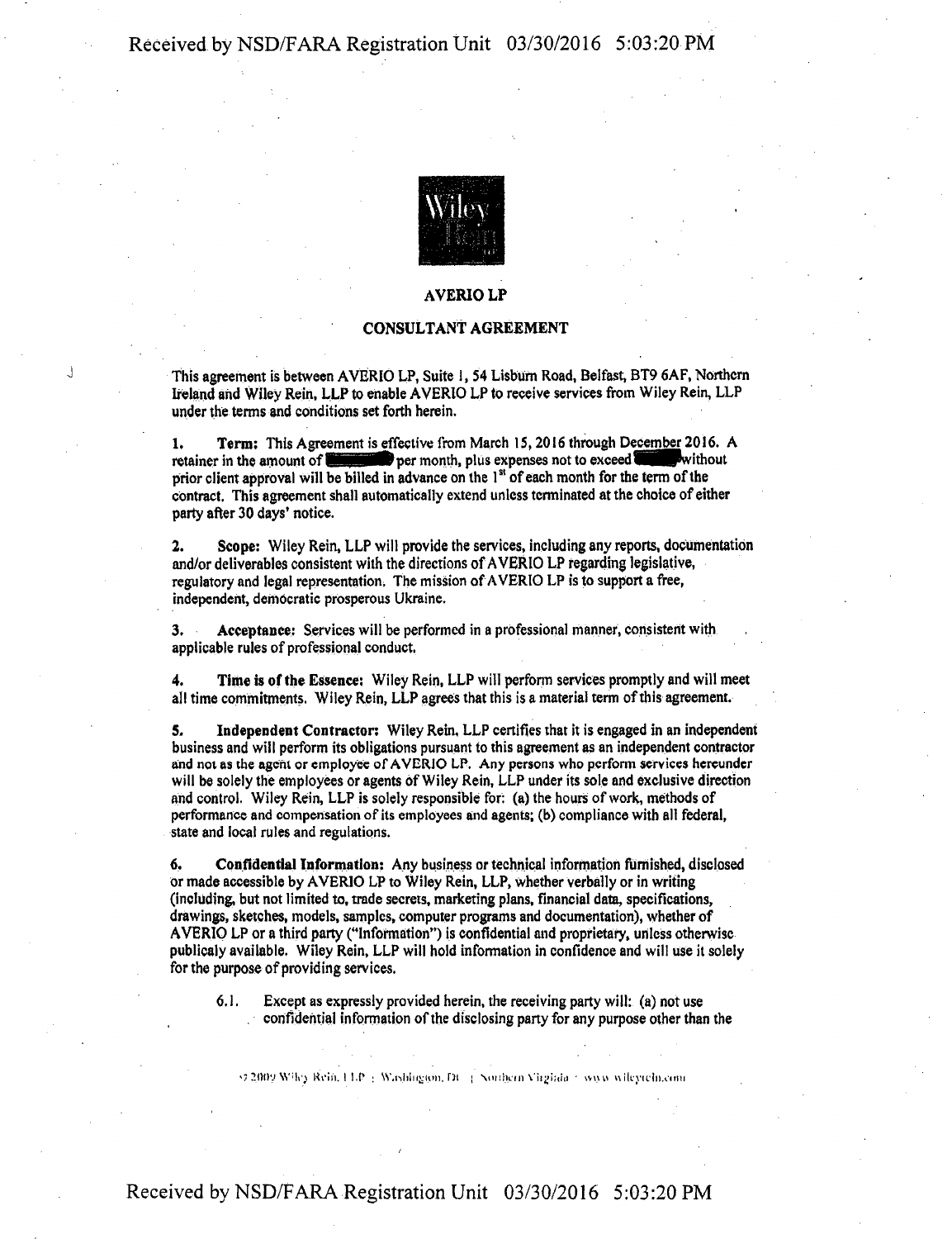

## AVERIOLP

### CONSULTANT AGREEMENT

This agreement is between AVERIO LP, Suite 1, 54 Lisbum Road, Belfast, BT9 6AF, Northern Ireland and Wiley Rein, LLP to enable AVERIO LP to receive services from Wiley Rein, LLP under the terms and conditions set forth herein.

1. Term: This Agreement is effective from March 15,2016 through December 2016. A retainer in the amount of SSB per month, plus expenses not to exceed Ville without prior client approval will be billed in advance on the 1<sup>st</sup> of each month for the term of the contract. This agreement shall automatically extend unless terminated at the choice of either party after 30 days' notice.

2. Scope: Wiley Rein, LLP will provide the services, including any reports, documentation and/or deliverables consistent with the directions of AVERIO LP regarding legislative, regulatory and legal representation. The mission of AVERIO LP is to support a free, independent, democratic prosperous Ukraine.

3. Acceptance: Services will be performed in a professional manner, consistent with applicable rules of professional conduct.

4. Time is of the Essence: Wiley Rein, LLP will perform services promptly and will meet all time commitments. Wiley Rein, LLP agrees that this is a material term of this agreement.

5. Independent Contractor: Wiley Rein, LLP certifies that it is engaged in an independent business and will perform its obligations pursuant to this agreement as an independent contractor and not as the agent or employee of AVERJO LP. Any persons who perform services hereunder will be solely the employees or agents of Wiley Rein, LLP under its sole and exclusive direction and control. Wiley Rein, LLP is solely responsible for: (a) the hours of work, methods of performance and compensation of its employees and agents; (b) compliance with all federal, state and local rules and regulations.

6. Confidential Information: Any business or technical information furnished, disclosed or made accessible by AVERIO LP to Wiley Rein, LLP, whether verbally or in writing (including, but not limited to, trade secrets, marketing plans, financial data, specifications, drawings, sketches, models, samples, computer programs and documentation), whether of AVERIO LP or a third party ("Information") is confidential and proprietary, unless otherwise publicaly available. Wiley Rein, LLP will hold information in confidence and will use it solely for the purpose of providing services.

6.1. Except as expressly provided herein, the receiving party will: (a) not use confidential information of the disclosing party for any purpose other than the

»J SftllV W'lo Ri'iii. I I.P : W.iijiin<;(ii|), Dt j Vuihyin Viijjiaiii • wuu n ikyu'ln.omi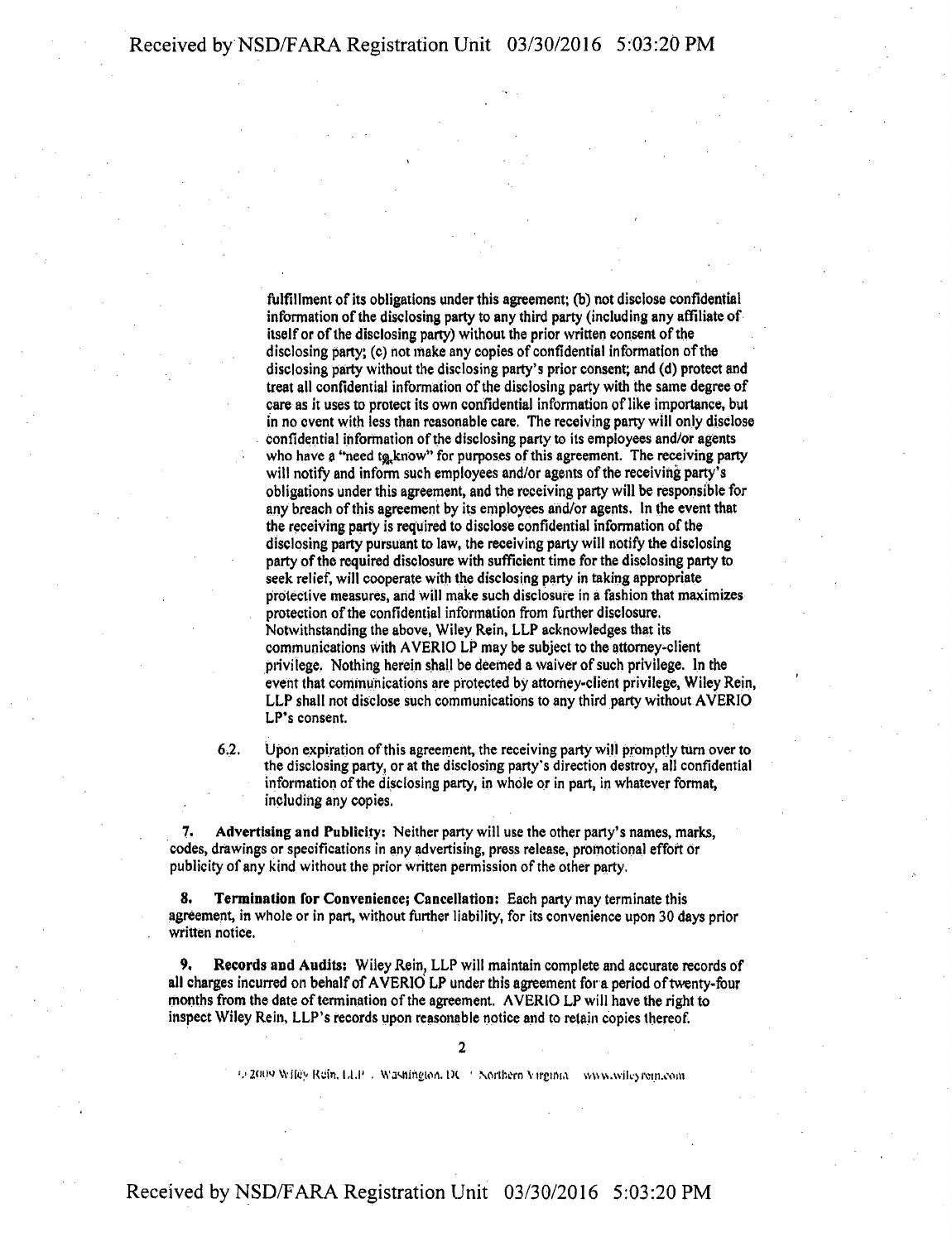fulfillment of its obligations under this agreement; (b) not disclose confidential information of the disclosing party to any third party (including any affiliate of itself or of the disclosing party) without the prior written consent of the disclosing party; (c) hot make any copies of confidential information of the disclosing party without the disclosing party's prior consent; and (d) protect and treat all confidential information of the disclosing party with the same degree of care as it uses to protect its own confidential information of like importance, but in no event with less than reasonable care. The receiving parry will only disclose confidential information of the disclosing party to its employees and/or agents who have a "need tg,know" for purposes of this agreement. The receiving party will notify and inform such employees and/or agents of the receiving party's obligations under this agreement, and the receiving party will be responsible for any breach of this agreement by its employees and/or agents. In the event that the receiving party is required to disclose confidential information of the disclosing party pursuant to law, the receiving party will notify the disclosing party of the required disclosure with sufficient time for the disclosing party to seek relief, will cooperate with the disclosing party in taking appropriate protective measures, and will make such disclosure in a fashion that maximizes protection of the confidential information from further disclosure. Notwithstanding the above, Wiley Rein, LLP acknowledges that its communications with AVERIO LP may be subject to the attorney-client privilege. Nothing herein shall be deemed a waiver of such privilege. In the event that communications are protected by attorney-client privilege, Wiley Rein, LLP shall not disclose such communications to any third party without AVERIO LP's consent.

6.2. Upon expiration of this agreement, the receiving party will promptly turn over to the disclosing party, or at the disclosing party's direction destroy, all confidential information of the disclosing party, in whole or in part, in whatever format, including any copies.

7. Advertising and Publicity: Neither party will use the other party's names, marks, codes, drawings or specifications in any advertising, press release, promotional effort or publicity of any kind without the prior written permission of the other party.

8. Termination for Convenience; Cancellation: Each party may terminate this agreement, in whole or in part, without further liability, for its convenience upon 30 days prior written notice.

9. Records and Audits: Wiley Rein, LLP will maintain complete and accurate records of all charges incurred on behalf of AVERIO LP under this agreement for a period of twenty-four months from the date of termination of the agreement. AVERIO LP will have the right to inspect Wiley Rein, LLP's records upon reasonable notice and to retain copies thereof.

'.'2fnw wite'y Rein. 1,1.1' . WaMimyon. 1)1 • \orthern Virginia w\ns.\vik>i\>in.oom